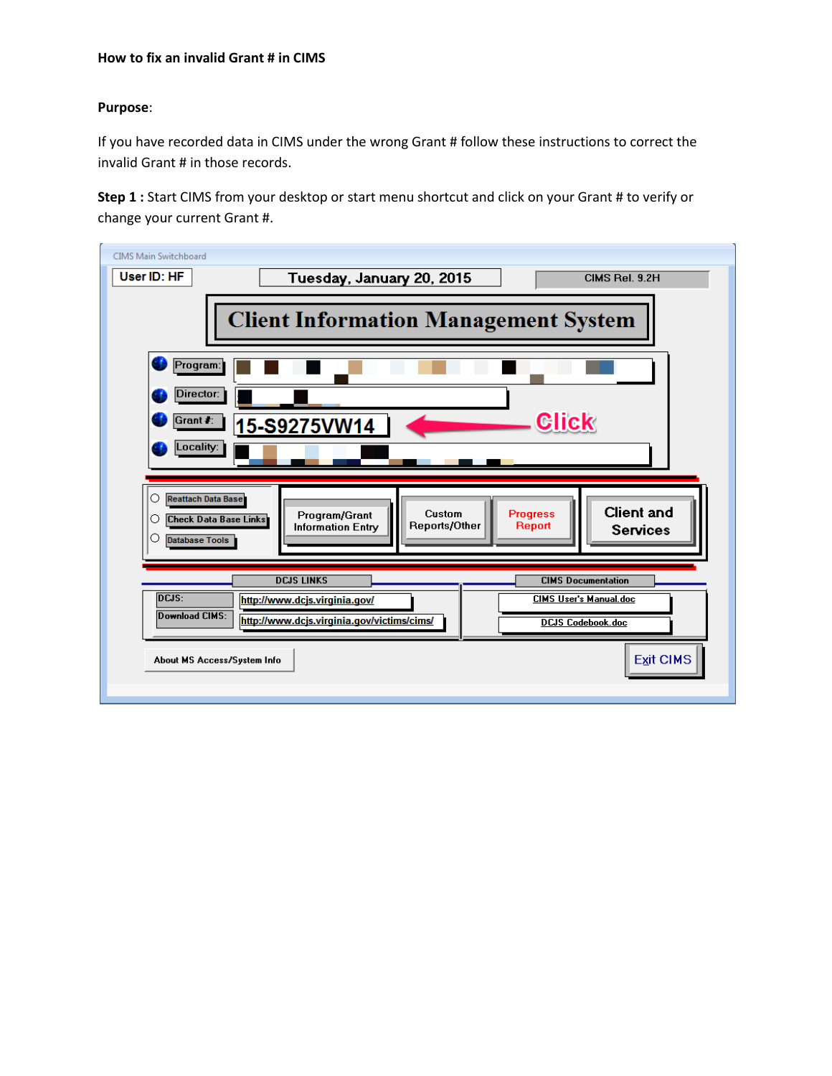## **How to fix an invalid Grant # in CIMS**

## **Purpose**:

If you have recorded data in CIMS under the wrong Grant # follow these instructions to correct the invalid Grant # in those records.

**Step 1 :** Start CIMS from your desktop or start menu shortcut and click on your Grant # to verify or change your current Grant #.

| CIMS Main Switchboard<br>User ID: HF<br>Tuesday, January 20, 2015<br>CIMS Rel. 9.2H                                                                                                                                                            |  |  |  |  |  |  |  |  |
|------------------------------------------------------------------------------------------------------------------------------------------------------------------------------------------------------------------------------------------------|--|--|--|--|--|--|--|--|
| <b>Client Information Management System</b>                                                                                                                                                                                                    |  |  |  |  |  |  |  |  |
| Program:<br>Director:<br><b>Click</b><br>Grant #:<br>15-S9275VW14<br>Locality:                                                                                                                                                                 |  |  |  |  |  |  |  |  |
|                                                                                                                                                                                                                                                |  |  |  |  |  |  |  |  |
| <b>Reattach Data Base</b><br>O<br><b>Client and</b><br>Custom<br><b>Progress</b><br>Program/Grant<br><b>Check Data Base Links</b><br>Ω<br>Reports/Other<br>Report<br><b>Information Entry</b><br><b>Services</b><br>O<br><b>Database Tools</b> |  |  |  |  |  |  |  |  |
| <b>DCJS LINKS</b><br><b>CIMS Documentation</b><br>DCJS:<br><b>CIMS User's Manual.doc</b><br>http://www.dcjs.virginia.gov/<br>Download CIMS:<br>http://www.dcjs.virginia.gov/victims/cims/<br><b>DCJS Codebook.doc</b>                          |  |  |  |  |  |  |  |  |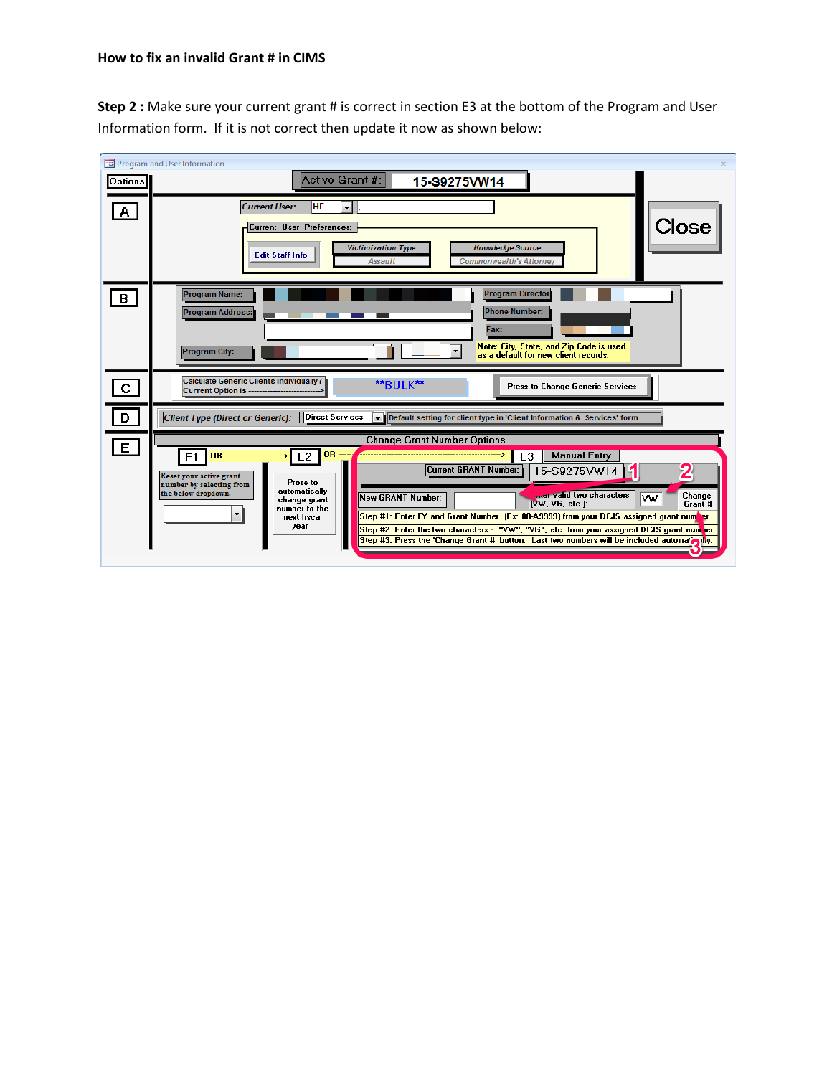**Step 2 :** Make sure your current grant # is correct in section E3 at the bottom of the Program and User Information form. If it is not correct then update it now as shown below:

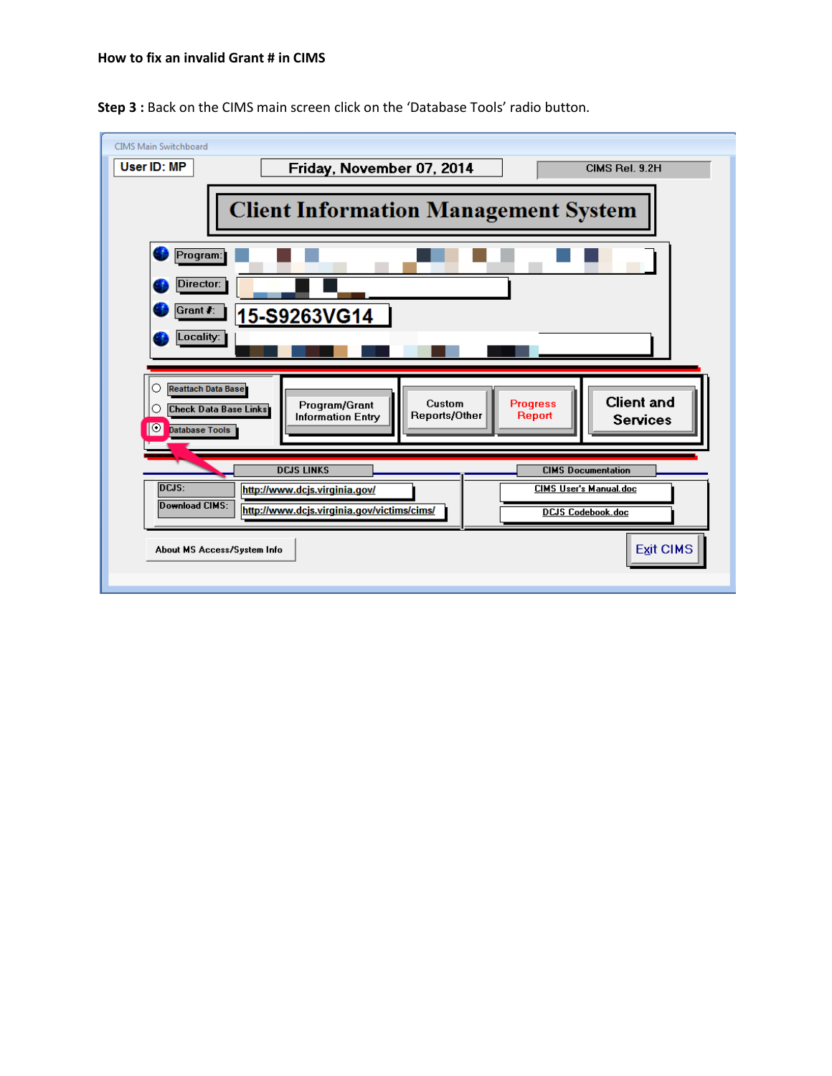

**Step 3 :** Back on the CIMS main screen click on the 'Database Tools' radio button.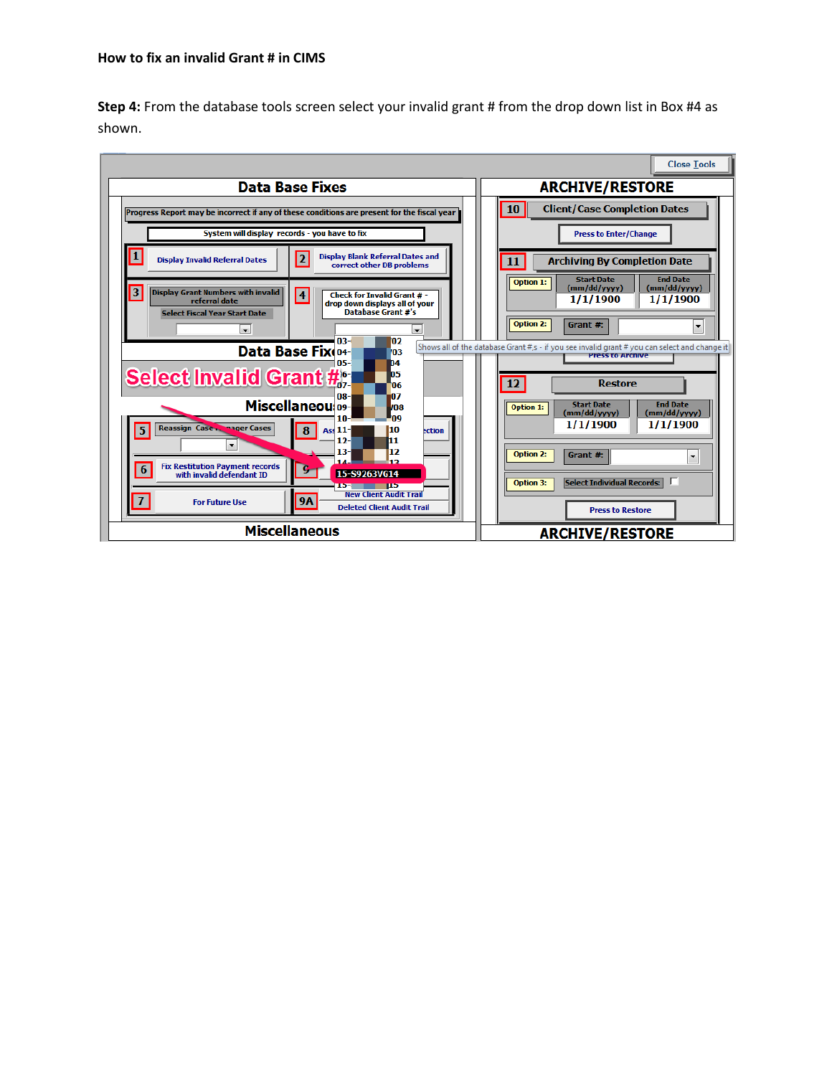**Step 4:** From the database tools screen select your invalid grant # from the drop down list in Box #4 as shown.

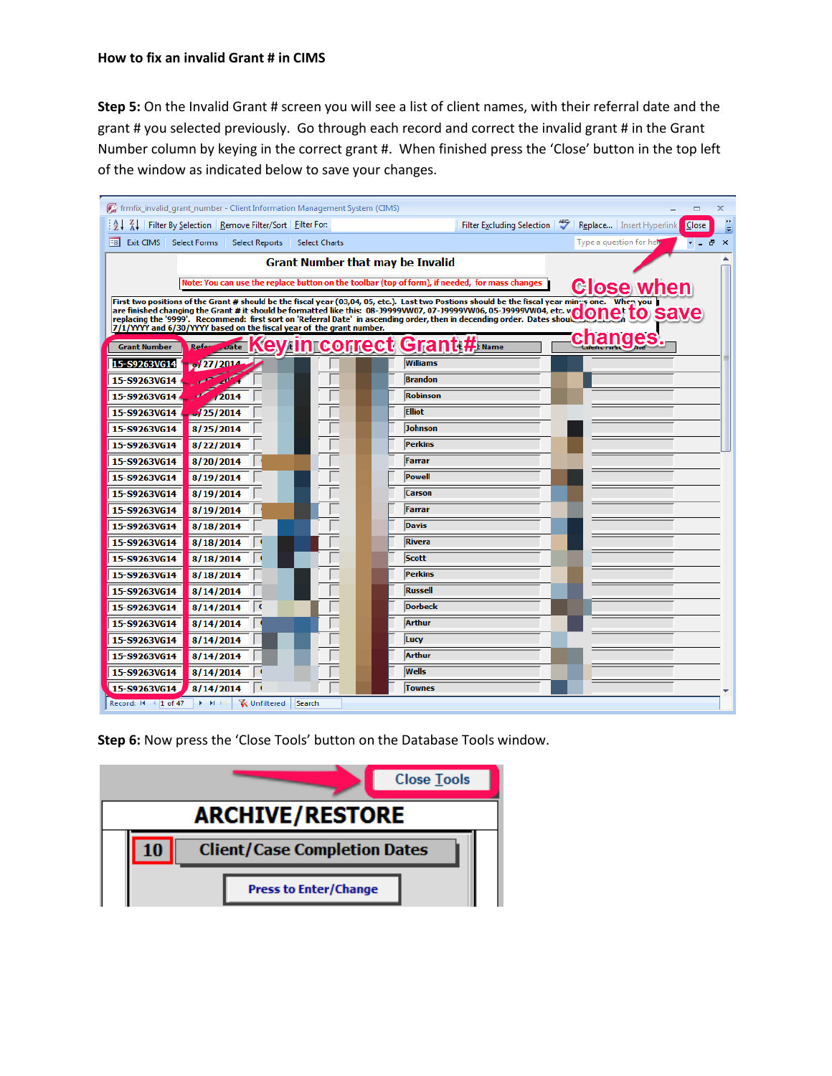**Step 5:** On the Invalid Grant # screen you will see a list of client names, with their referral date and the grant # you selected previously. Go through each record and correct the invalid grant # in the Grant Number column by keying in the correct grant #. When finished press the 'Close' button in the top left of the window as indicated below to save your changes.

|                                                                                                                                                                                                                                   | for frmfix invalid_grant_number - Client Information Management System (CIMS)                    |                                     |                 |                            |  |                            | x                 |  |  |
|-----------------------------------------------------------------------------------------------------------------------------------------------------------------------------------------------------------------------------------|--------------------------------------------------------------------------------------------------|-------------------------------------|-----------------|----------------------------|--|----------------------------|-------------------|--|--|
|                                                                                                                                                                                                                                   | $\frac{1}{2}$ $\frac{1}{4}$ $\frac{1}{4}$ Filter By Selection   Remove Filter/Sort   Filter For: |                                     |                 | Filter Excluding Selection |  | Replace   Insert Hyperlink | Close             |  |  |
| Eal<br>Exit CIMS Select Forms                                                                                                                                                                                                     | <b>Select Reports</b>                                                                            | <b>Select Charts</b>                |                 |                            |  | Type a question for help   | Đ<br>$\mathbf{x}$ |  |  |
| <b>Grant Number that may be Invalid</b>                                                                                                                                                                                           |                                                                                                  |                                     |                 |                            |  |                            |                   |  |  |
| Note: You can use the replace button on the toolbar (top of form), if needed, for mass changes                                                                                                                                    |                                                                                                  |                                     |                 |                            |  |                            |                   |  |  |
| <b>Close when</b><br>First two positions of the Grant # should be the fiscal year (03,04, 05, etc.). Last two Postions should be the fiscal year mings one. When you                                                              |                                                                                                  |                                     |                 |                            |  |                            |                   |  |  |
| are finished changing the Grant # it should be formatted like this: 08-J9999VW07, 07-J9999VW06, 05-J9999VW04, etc. vOONC to SaVe<br>replacing the '9999'. Recommend: first sort on 'Referral Date' in ascending order, then in de |                                                                                                  |                                     |                 |                            |  |                            |                   |  |  |
| 7/1/YYYY and 6/30/YYYY based on the fiscal year of the grant number.                                                                                                                                                              |                                                                                                  |                                     |                 |                            |  |                            |                   |  |  |
| <b>Grant Number</b>                                                                                                                                                                                                               | Refer<br>$\omega$ ate                                                                            | <b>Key in correct Grant # INANC</b> |                 |                            |  | changes                    |                   |  |  |
| 15-S9263VG14                                                                                                                                                                                                                      | 0.27/2014                                                                                        |                                     | Williams        |                            |  |                            |                   |  |  |
| 15-S9263VG14                                                                                                                                                                                                                      |                                                                                                  |                                     | <b>Brandon</b>  |                            |  |                            |                   |  |  |
| 15-S9263VG14                                                                                                                                                                                                                      | 2014                                                                                             |                                     | <b>Robinson</b> |                            |  |                            |                   |  |  |
| 15-S9263VG14                                                                                                                                                                                                                      | 125/2014                                                                                         |                                     | <b>Elliot</b>   |                            |  |                            |                   |  |  |
| 15-S9263VG14                                                                                                                                                                                                                      | 8/25/2014                                                                                        |                                     | <b>Johnson</b>  |                            |  |                            |                   |  |  |
| 15-S9263VG14                                                                                                                                                                                                                      | 8/22/2014                                                                                        |                                     | <b>Perkins</b>  |                            |  |                            |                   |  |  |
| 15-S9263VG14                                                                                                                                                                                                                      | 8/20/2014                                                                                        |                                     | Farrar          |                            |  |                            |                   |  |  |
| 15-S9263VG14                                                                                                                                                                                                                      | 8/19/2014                                                                                        |                                     | Powell          |                            |  |                            |                   |  |  |
| 15-S9263VG14                                                                                                                                                                                                                      | 8/19/2014                                                                                        |                                     | <b>Carson</b>   |                            |  |                            |                   |  |  |
| 15-S9263VG14                                                                                                                                                                                                                      | 8/19/2014                                                                                        |                                     | Farrar          |                            |  |                            |                   |  |  |
| 15-S9263VG14                                                                                                                                                                                                                      | 8/18/2014                                                                                        |                                     | <b>Davis</b>    |                            |  |                            |                   |  |  |
| 15-S9263VG14                                                                                                                                                                                                                      | 8/18/2014                                                                                        |                                     | <b>Rivera</b>   |                            |  |                            |                   |  |  |
| 15-S9263VG14                                                                                                                                                                                                                      | 8/18/2014                                                                                        |                                     | Scott           |                            |  |                            |                   |  |  |
| 15-S9263VG14                                                                                                                                                                                                                      | 8/18/2014                                                                                        |                                     | Perkins         |                            |  |                            |                   |  |  |
| 15-S9263VG14                                                                                                                                                                                                                      | 8/14/2014                                                                                        |                                     | <b>Russell</b>  |                            |  |                            |                   |  |  |
| 15-S9263VG14                                                                                                                                                                                                                      | 8/14/2014                                                                                        |                                     | Dorbeck         |                            |  |                            |                   |  |  |
| 15-S9263VG14                                                                                                                                                                                                                      | 8/14/2014                                                                                        |                                     | <b>Arthur</b>   |                            |  |                            |                   |  |  |
| 15-S9263VG14                                                                                                                                                                                                                      | 8/14/2014                                                                                        |                                     | Lucy            |                            |  |                            |                   |  |  |
| 15-S9263VG14                                                                                                                                                                                                                      | 8/14/2014                                                                                        |                                     | <b>Arthur</b>   |                            |  |                            |                   |  |  |
| 15-S9263VG14                                                                                                                                                                                                                      | 8/14/2014                                                                                        |                                     | <b>Wells</b>    |                            |  |                            |                   |  |  |
| 15-S9263VG14                                                                                                                                                                                                                      | 8/14/2014                                                                                        |                                     | Townes          |                            |  |                            |                   |  |  |
| <b>X</b> Unfiltered<br>Record: II 4 1 of 47<br>$\blacktriangleright$ $\blacktriangleright$ $\dashv$<br>Search                                                                                                                     |                                                                                                  |                                     |                 |                            |  |                            |                   |  |  |

**Step 6:** Now press the 'Close Tools' button on the Database Tools window.